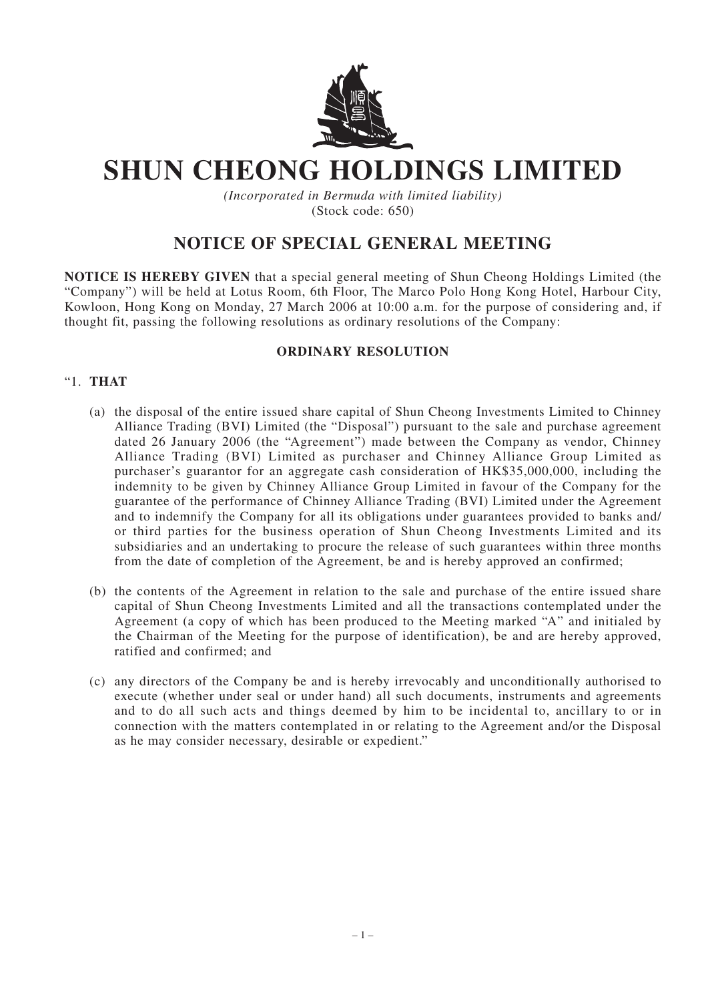

## **SHUN CHEONG HOLDINGS LIMITED**

*(Incorporated in Bermuda with limited liability)* (Stock code: 650)

## **NOTICE OF SPECIAL GENERAL MEETING**

**NOTICE IS HEREBY GIVEN** that a special general meeting of Shun Cheong Holdings Limited (the "Company") will be held at Lotus Room, 6th Floor, The Marco Polo Hong Kong Hotel, Harbour City, Kowloon, Hong Kong on Monday, 27 March 2006 at 10:00 a.m. for the purpose of considering and, if thought fit, passing the following resolutions as ordinary resolutions of the Company:

## **ORDINARY RESOLUTION**

## "1. **THAT**

- (a) the disposal of the entire issued share capital of Shun Cheong Investments Limited to Chinney Alliance Trading (BVI) Limited (the "Disposal") pursuant to the sale and purchase agreement dated 26 January 2006 (the "Agreement") made between the Company as vendor, Chinney Alliance Trading (BVI) Limited as purchaser and Chinney Alliance Group Limited as purchaser's guarantor for an aggregate cash consideration of HK\$35,000,000, including the indemnity to be given by Chinney Alliance Group Limited in favour of the Company for the guarantee of the performance of Chinney Alliance Trading (BVI) Limited under the Agreement and to indemnify the Company for all its obligations under guarantees provided to banks and/ or third parties for the business operation of Shun Cheong Investments Limited and its subsidiaries and an undertaking to procure the release of such guarantees within three months from the date of completion of the Agreement, be and is hereby approved an confirmed;
- (b) the contents of the Agreement in relation to the sale and purchase of the entire issued share capital of Shun Cheong Investments Limited and all the transactions contemplated under the Agreement (a copy of which has been produced to the Meeting marked "A" and initialed by the Chairman of the Meeting for the purpose of identification), be and are hereby approved, ratified and confirmed; and
- (c) any directors of the Company be and is hereby irrevocably and unconditionally authorised to execute (whether under seal or under hand) all such documents, instruments and agreements and to do all such acts and things deemed by him to be incidental to, ancillary to or in connection with the matters contemplated in or relating to the Agreement and/or the Disposal as he may consider necessary, desirable or expedient."